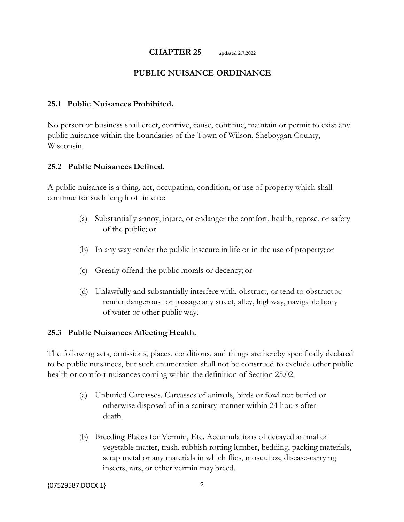#### **CHAPTER 25 updated 2.7.2022**

### **PUBLIC NUISANCE ORDINANCE**

### **25.1 Public Nuisances Prohibited.**

No person or business shall erect, contrive, cause, continue, maintain or permit to exist any public nuisance within the boundaries of the Town of Wilson, Sheboygan County, Wisconsin.

#### **25.2 Public Nuisances Defined.**

A public nuisance is a thing, act, occupation, condition, or use of property which shall continue for such length of time to:

- (a) Substantially annoy, injure, or endanger the comfort, health, repose, or safety of the public; or
- (b) In any way render the public insecure in life or in the use of property; or
- (c) Greatly offend the public morals or decency; or
- (d) Unlawfully and substantially interfere with, obstruct, or tend to obstruct or render dangerous for passage any street, alley, highway, navigable body of water or other public way.

### **25.3 Public Nuisances Affecting Health.**

The following acts, omissions, places, conditions, and things are hereby specifically declared to be public nuisances, but such enumeration shall not be construed to exclude other public health or comfort nuisances coming within the definition of Section 25.02.

- (a) Unburied Carcasses. Carcasses of animals, birds or fowl not buried or otherwise disposed of in a sanitary manner within 24 hours after death.
- (b) Breeding Places for Vermin, Etc. Accumulations of decayed animal or vegetable matter, trash, rubbish rotting lumber, bedding, packing materials, scrap metal or any materials in which flies, mosquitos, disease-carrying insects, rats, or other vermin may breed.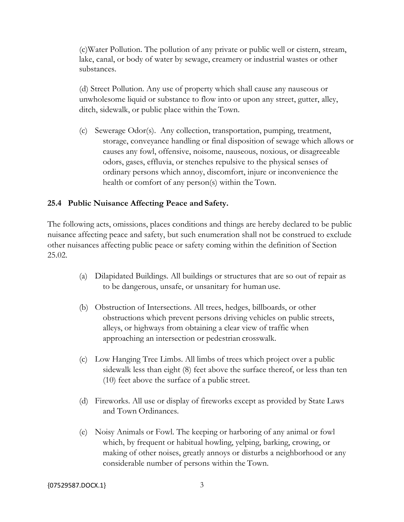(c)Water Pollution. The pollution of any private or public well or cistern, stream, lake, canal, or body of water by sewage, creamery or industrial wastes or other substances.

(d) Street Pollution. Any use of property which shall cause any nauseous or unwholesome liquid or substance to flow into or upon any street, gutter, alley, ditch, sidewalk, or public place within the Town.

(c) Sewerage Odor(s). Any collection, transportation, pumping, treatment, storage, conveyance handling or final disposition of sewage which allows or causes any fowl, offensive, noisome, nauseous, noxious, or disagreeable odors, gases, effluvia, or stenches repulsive to the physical senses of ordinary persons which annoy, discomfort, injure or inconvenience the health or comfort of any person(s) within the Town.

## **25.4 Public Nuisance Affecting Peace and Safety.**

The following acts, omissions, places conditions and things are hereby declared to be public nuisance affecting peace and safety, but such enumeration shall not be construed to exclude other nuisances affecting public peace or safety coming within the definition of Section 25.02.

- (a) Dilapidated Buildings. All buildings or structures that are so out of repair as to be dangerous, unsafe, or unsanitary for human use.
- (b) Obstruction of Intersections. All trees, hedges, billboards, or other obstructions which prevent persons driving vehicles on public streets, alleys, or highways from obtaining a clear view of traffic when approaching an intersection or pedestrian crosswalk.
- (c) Low Hanging Tree Limbs. All limbs of trees which project over a public sidewalk less than eight (8) feet above the surface thereof, or less than ten (10) feet above the surface of a public street.
- (d) Fireworks. All use or display of fireworks except as provided by State Laws and Town Ordinances.
- (e) Noisy Animals or Fowl. The keeping or harboring of any animal or fowl which, by frequent or habitual howling, yelping, barking, crowing, or making of other noises, greatly annoys or disturbs a neighborhood or any considerable number of persons within the Town.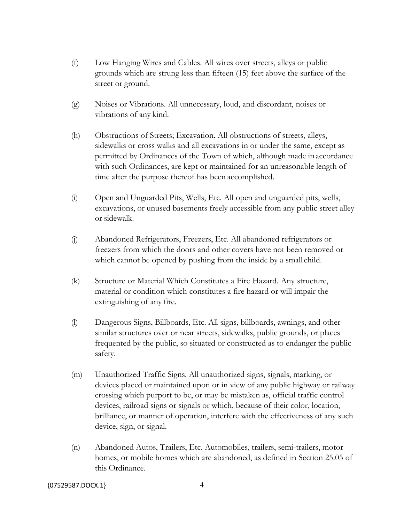- (f) Low Hanging Wires and Cables. All wires over streets, alleys or public grounds which are strung less than fifteen (15) feet above the surface of the street or ground.
- (g) Noises or Vibrations. All unnecessary, loud, and discordant, noises or vibrations of any kind.
- (h) Obstructions of Streets; Excavation. All obstructions of streets, alleys, sidewalks or cross walks and all excavations in or under the same, except as permitted by Ordinances of the Town of which, although made in accordance with such Ordinances, are kept or maintained for an unreasonable length of time after the purpose thereof has been accomplished.
- (i) Open and Unguarded Pits, Wells, Etc. All open and unguarded pits, wells, excavations, or unused basements freely accessible from any public street alley or sidewalk.
- (j) Abandoned Refrigerators, Freezers, Etc. All abandoned refrigerators or freezers from which the doors and other covers have not been removed or which cannot be opened by pushing from the inside by a small child.
- (k) Structure or Material Which Constitutes a Fire Hazard. Any structure, material or condition which constitutes a fire hazard or will impair the extinguishing of any fire.
- (l) Dangerous Signs, Billboards, Etc. All signs, billboards, awnings, and other similar structures over or near streets, sidewalks, public grounds, or places frequented by the public, so situated or constructed as to endanger the public safety.
- (m) Unauthorized Traffic Signs. All unauthorized signs, signals, marking, or devices placed or maintained upon or in view of any public highway or railway crossing which purport to be, or may be mistaken as, official traffic control devices, railroad signs or signals or which, because of their color, location, brilliance, or manner of operation, interfere with the effectiveness of any such device, sign, or signal.
- (n) Abandoned Autos, Trailers, Etc. Automobiles, trailers, semi-trailers, motor homes, or mobile homes which are abandoned, as defined in Section 25.05 of this Ordinance.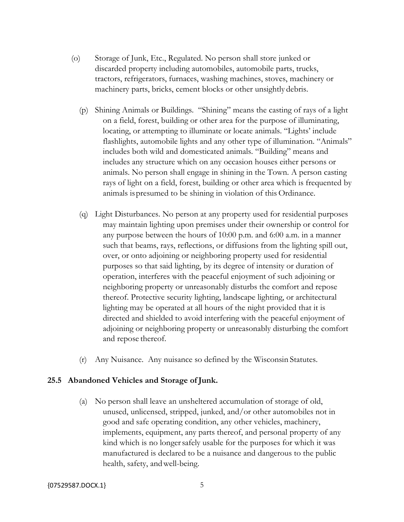- (o) Storage of Junk, Etc., Regulated. No person shall store junked or discarded property including automobiles, automobile parts, trucks, tractors, refrigerators, furnaces, washing machines, stoves, machinery or machinery parts, bricks, cement blocks or other unsightly debris.
	- (p) Shining Animals or Buildings. "Shining" means the casting of rays of a light on a field, forest, building or other area for the purpose of illuminating, locating, or attempting to illuminate or locate animals. "Lights' include flashlights, automobile lights and any other type of illumination. "Animals" includes both wild and domesticated animals. "Building" means and includes any structure which on any occasion houses either persons or animals. No person shall engage in shining in the Town. A person casting rays of light on a field, forest, building or other area which is frequented by animals ispresumed to be shining in violation of this Ordinance.
	- (q) Light Disturbances. No person at any property used for residential purposes may maintain lighting upon premises under their ownership or control for any purpose between the hours of 10:00 p.m. and 6:00 a.m. in a manner such that beams, rays, reflections, or diffusions from the lighting spill out, over, or onto adjoining or neighboring property used for residential purposes so that said lighting, by its degree of intensity or duration of operation, interferes with the peaceful enjoyment of such adjoining or neighboring property or unreasonably disturbs the comfort and repose thereof. Protective security lighting, landscape lighting, or architectural lighting may be operated at all hours of the night provided that it is directed and shielded to avoid interfering with the peaceful enjoyment of adjoining or neighboring property or unreasonably disturbing the comfort and repose thereof.
	- (r) Any Nuisance. Any nuisance so defined by the Wisconsin Statutes.

### **25.5 Abandoned Vehicles and Storage ofJunk.**

(a) No person shall leave an unsheltered accumulation of storage of old, unused, unlicensed, stripped, junked, and/or other automobiles not in good and safe operating condition, any other vehicles, machinery, implements, equipment, any parts thereof, and personal property of any kind which is no longersafely usable for the purposes for which it was manufactured is declared to be a nuisance and dangerous to the public health, safety, andwell-being.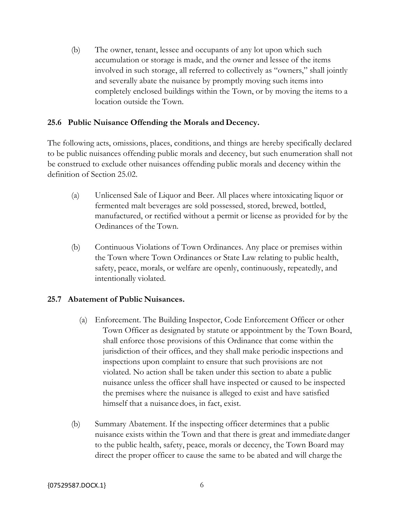(b) The owner, tenant, lessee and occupants of any lot upon which such accumulation or storage is made, and the owner and lessee of the items involved in such storage, all referred to collectively as "owners," shall jointly and severally abate the nuisance by promptly moving such items into completely enclosed buildings within the Town, or by moving the items to a location outside the Town.

## **25.6 Public Nuisance Offending the Morals and Decency.**

The following acts, omissions, places, conditions, and things are hereby specifically declared to be public nuisances offending public morals and decency, but such enumeration shall not be construed to exclude other nuisances offending public morals and decency within the definition of Section 25.02.

- (a) Unlicensed Sale of Liquor and Beer. All places where intoxicating liquor or fermented malt beverages are sold possessed, stored, brewed, bottled, manufactured, or rectified without a permit or license as provided for by the Ordinances of the Town.
- (b) Continuous Violations of Town Ordinances. Any place or premises within the Town where Town Ordinances or State Law relating to public health, safety, peace, morals, or welfare are openly, continuously, repeatedly, and intentionally violated.

### **25.7 Abatement of Public Nuisances.**

- (a) Enforcement. The Building Inspector, Code Enforcement Officer or other Town Officer as designated by statute or appointment by the Town Board, shall enforce those provisions of this Ordinance that come within the jurisdiction of their offices, and they shall make periodic inspections and inspections upon complaint to ensure that such provisions are not violated. No action shall be taken under this section to abate a public nuisance unless the officer shall have inspected or caused to be inspected the premises where the nuisance is alleged to exist and have satisfied himself that a nuisance does, in fact, exist.
- (b) Summary Abatement. If the inspecting officer determines that a public nuisance exists within the Town and that there is great and immediate danger to the public health, safety, peace, morals or decency, the Town Board may direct the proper officer to cause the same to be abated and will charge the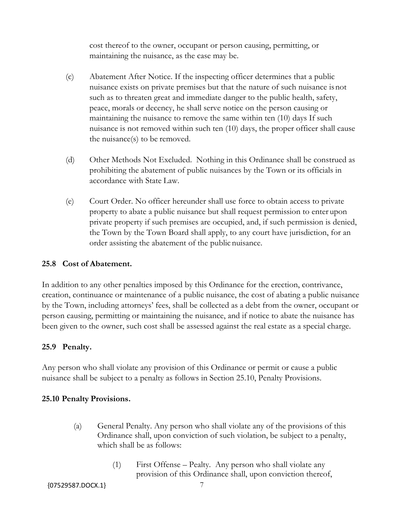cost thereof to the owner, occupant or person causing, permitting, or maintaining the nuisance, as the case may be.

- (c) Abatement After Notice. If the inspecting officer determines that a public nuisance exists on private premises but that the nature of such nuisance isnot such as to threaten great and immediate danger to the public health, safety, peace, morals or decency, he shall serve notice on the person causing or maintaining the nuisance to remove the same within ten (10) days If such nuisance is not removed within such ten (10) days, the proper officer shall cause the nuisance(s) to be removed.
- (d) Other Methods Not Excluded. Nothing in this Ordinance shall be construed as prohibiting the abatement of public nuisances by the Town or its officials in accordance with State Law.
- (e) Court Order. No officer hereunder shall use force to obtain access to private property to abate a public nuisance but shall request permission to enter upon private property if such premises are occupied, and, if such permission is denied, the Town by the Town Board shall apply, to any court have jurisdiction, for an order assisting the abatement of the public nuisance.

# **25.8 Cost of Abatement.**

In addition to any other penalties imposed by this Ordinance for the erection, contrivance, creation, continuance or maintenance of a public nuisance, the cost of abating a public nuisance by the Town, including attorneys' fees, shall be collected as a debt from the owner, occupant or person causing, permitting or maintaining the nuisance, and if notice to abate the nuisance has been given to the owner, such cost shall be assessed against the real estate as a special charge.

# **25.9 Penalty.**

Any person who shall violate any provision of this Ordinance or permit or cause a public nuisance shall be subject to a penalty as follows in Section 25.10, Penalty Provisions.

### **25.10 Penalty Provisions.**

- (a) General Penalty. Any person who shall violate any of the provisions of this Ordinance shall, upon conviction of such violation, be subject to a penalty, which shall be as follows:
	- (1) First Offense Pealty. Any person who shall violate any provision of this Ordinance shall, upon conviction thereof,